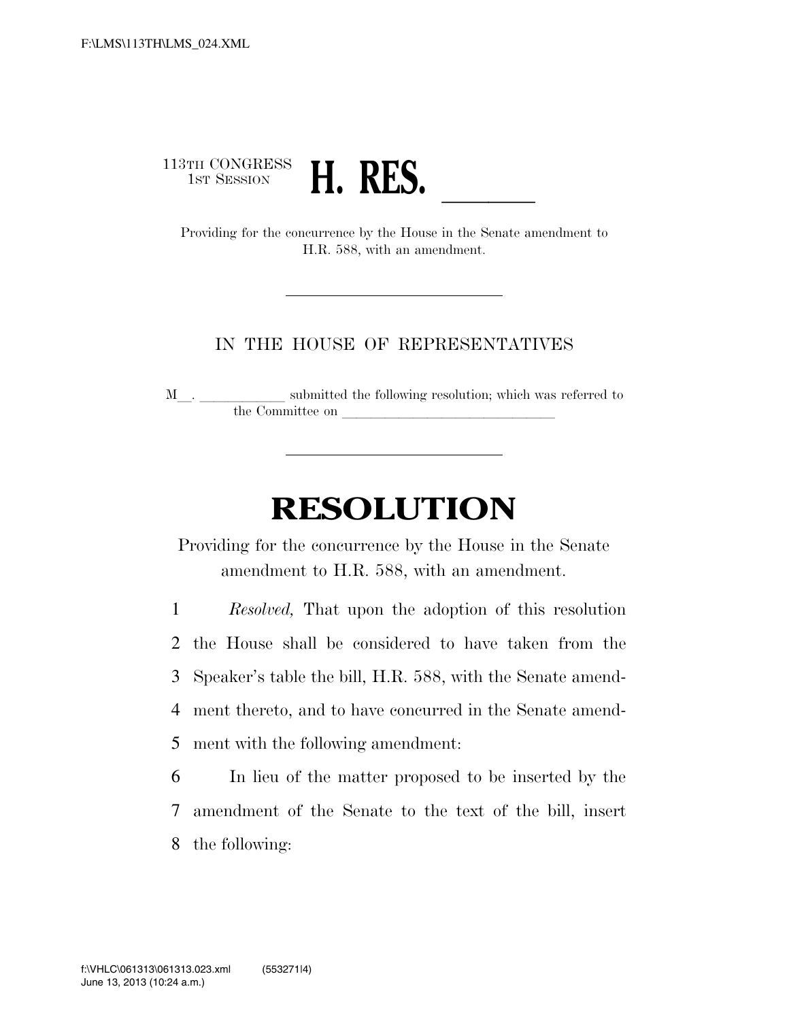## 113TH CONGRESS<br>1st Session 3TH CONGRESS<br>1ST SESSION **H. RES.**<br>Providing for the concurrence by the House in the Senate amendment to

H.R. 588, with an amendment.

## IN THE HOUSE OF REPRESENTATIVES

M $\_$   $\_$   $\_$   $\_$  submitted the following resolution; which was referred to the Committee on

## **RESOLUTION**

Providing for the concurrence by the House in the Senate amendment to H.R. 588, with an amendment.

 *Resolved,* That upon the adoption of this resolution the House shall be considered to have taken from the Speaker's table the bill, H.R. 588, with the Senate amend- ment thereto, and to have concurred in the Senate amend-ment with the following amendment:

6 In lieu of the matter proposed to be inserted by the 7 amendment of the Senate to the text of the bill, insert 8 the following: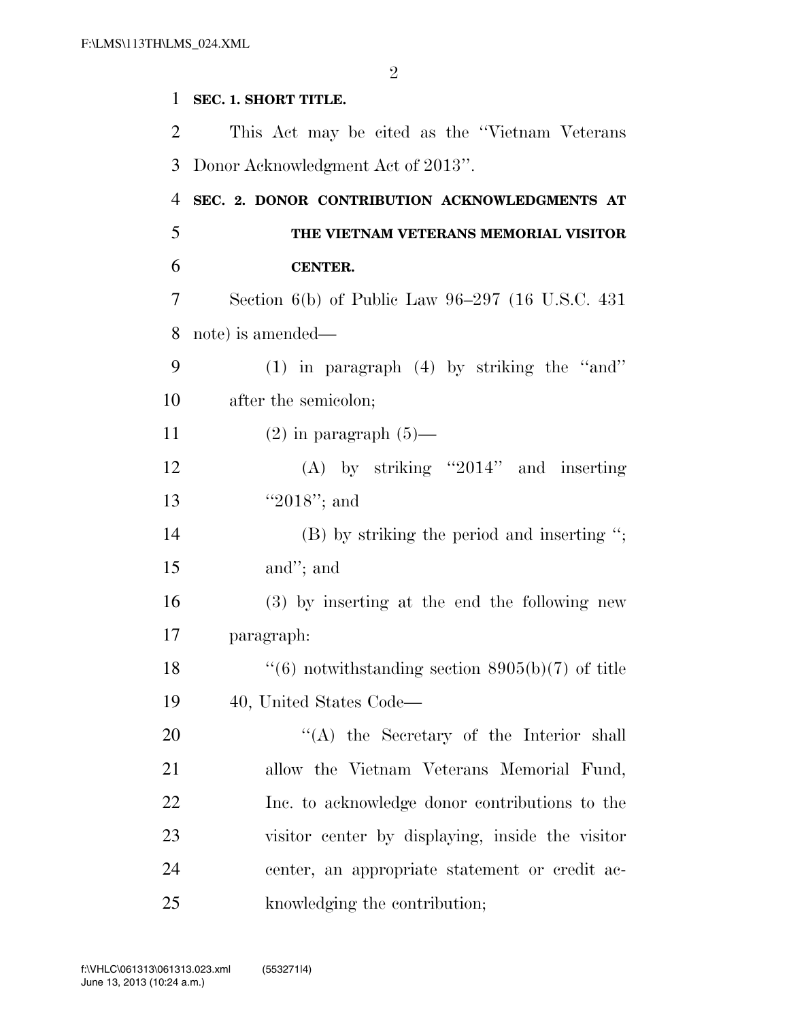**SEC. 1. SHORT TITLE.**  This Act may be cited as the ''Vietnam Veterans Donor Acknowledgment Act of 2013''. **SEC. 2. DONOR CONTRIBUTION ACKNOWLEDGMENTS AT THE VIETNAM VETERANS MEMORIAL VISITOR CENTER.**  Section 6(b) of Public Law 96–297 (16 U.S.C. 431 note) is amended— (1) in paragraph (4) by striking the ''and'' after the semicolon;  $(2)$  in paragraph  $(5)$ — (A) by striking ''2014'' and inserting 13 ''2018''; and 14 (B) by striking the period and inserting "; and''; and (3) by inserting at the end the following new paragraph:  $\frac{16}{16}$  notwithstanding section 8905(b)(7) of title 40, United States Code— 20 "(A) the Secretary of the Interior shall allow the Vietnam Veterans Memorial Fund, Inc. to acknowledge donor contributions to the visitor center by displaying, inside the visitor center, an appropriate statement or credit ac-knowledging the contribution;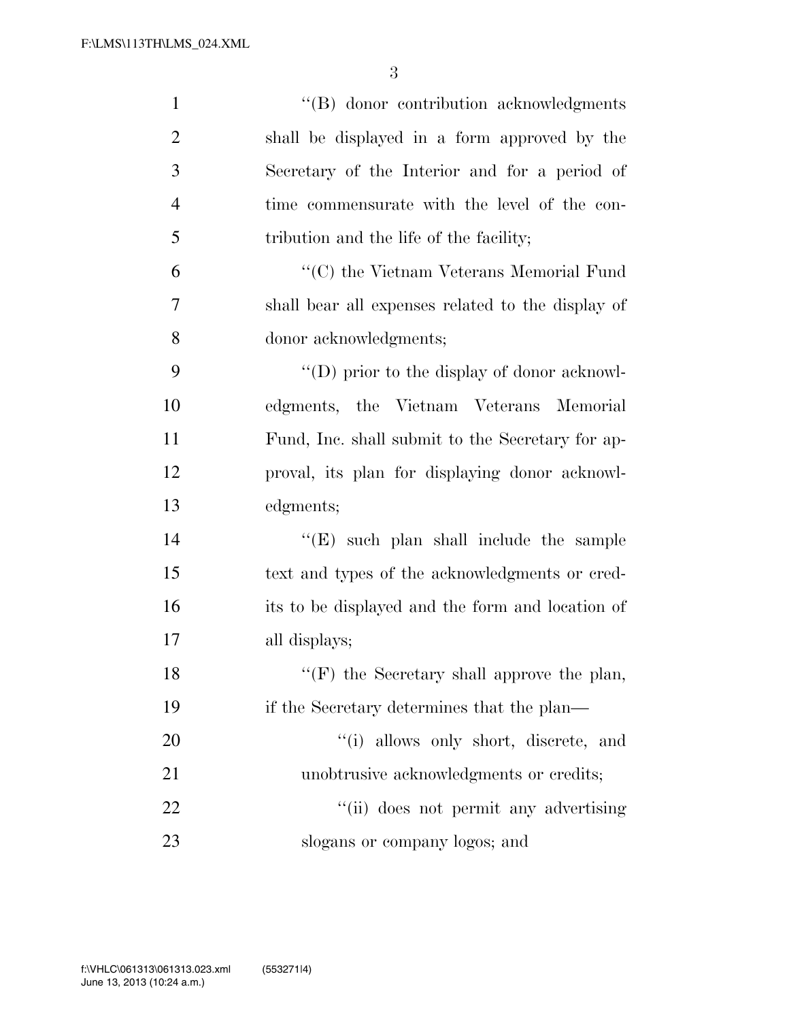3

| $\mathbf{1}$   | "(B) donor contribution acknowledgments             |
|----------------|-----------------------------------------------------|
| $\overline{2}$ | shall be displayed in a form approved by the        |
| 3              | Secretary of the Interior and for a period of       |
| $\overline{4}$ | time commensurate with the level of the con-        |
| 5              | tribution and the life of the facility;             |
| 6              | "(C) the Vietnam Veterans Memorial Fund             |
| 7              | shall bear all expenses related to the display of   |
| 8              | donor acknowledgments;                              |
| 9              | $\lq\lq$ (D) prior to the display of donor acknowl- |
| 10             | edgments, the Vietnam Veterans Memorial             |
| 11             | Fund, Inc. shall submit to the Secretary for ap-    |
| 12             | proval, its plan for displaying donor acknowl-      |
| 13             | edgments;                                           |
| 14             | $\lq\lq$ (E) such plan shall include the sample     |
| 15             | text and types of the acknowledgments or cred-      |
| 16             | its to be displayed and the form and location of    |
| 17             | all displays;                                       |
| 18             | "(F) the Secretary shall approve the plan,          |
| 19             | if the Secretary determines that the plan—          |
| 20             | "(i) allows only short, discrete, and               |
| 21             | unobtrusive acknowledgments or credits;             |
| 22             | "(ii) does not permit any advertising               |
| 23             | slogans or company logos; and                       |